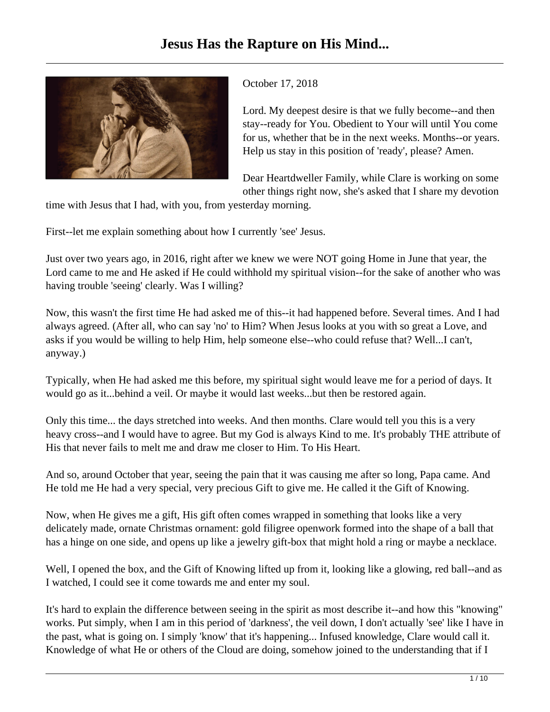

## October 17, 2018

Lord. My deepest desire is that we fully become--and then stay--ready for You. Obedient to Your will until You come for us, whether that be in the next weeks. Months--or years. Help us stay in this position of 'ready', please? Amen.

Dear Heartdweller Family, while Clare is working on some other things right now, she's asked that I share my devotion

time with Jesus that I had, with you, from yesterday morning.

First--let me explain something about how I currently 'see' Jesus.

Just over two years ago, in 2016, right after we knew we were NOT going Home in June that year, the Lord came to me and He asked if He could withhold my spiritual vision--for the sake of another who was having trouble 'seeing' clearly. Was I willing?

Now, this wasn't the first time He had asked me of this--it had happened before. Several times. And I had always agreed. (After all, who can say 'no' to Him? When Jesus looks at you with so great a Love, and asks if you would be willing to help Him, help someone else--who could refuse that? Well...I can't, anyway.)

Typically, when He had asked me this before, my spiritual sight would leave me for a period of days. It would go as it...behind a veil. Or maybe it would last weeks...but then be restored again.

Only this time... the days stretched into weeks. And then months. Clare would tell you this is a very heavy cross--and I would have to agree. But my God is always Kind to me. It's probably THE attribute of His that never fails to melt me and draw me closer to Him. To His Heart.

And so, around October that year, seeing the pain that it was causing me after so long, Papa came. And He told me He had a very special, very precious Gift to give me. He called it the Gift of Knowing.

Now, when He gives me a gift, His gift often comes wrapped in something that looks like a very delicately made, ornate Christmas ornament: gold filigree openwork formed into the shape of a ball that has a hinge on one side, and opens up like a jewelry gift-box that might hold a ring or maybe a necklace.

Well, I opened the box, and the Gift of Knowing lifted up from it, looking like a glowing, red ball--and as I watched, I could see it come towards me and enter my soul.

It's hard to explain the difference between seeing in the spirit as most describe it--and how this "knowing" works. Put simply, when I am in this period of 'darkness', the veil down, I don't actually 'see' like I have in the past, what is going on. I simply 'know' that it's happening... Infused knowledge, Clare would call it. Knowledge of what He or others of the Cloud are doing, somehow joined to the understanding that if I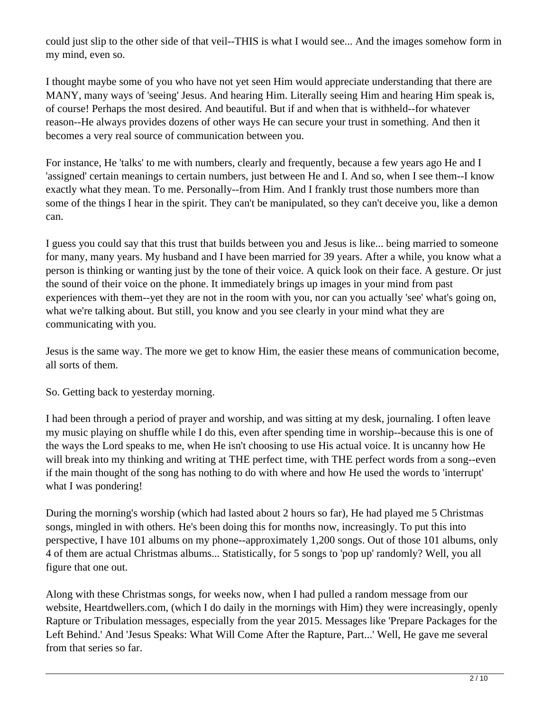could just slip to the other side of that veil--THIS is what I would see... And the images somehow form in my mind, even so.

I thought maybe some of you who have not yet seen Him would appreciate understanding that there are MANY, many ways of 'seeing' Jesus. And hearing Him. Literally seeing Him and hearing Him speak is, of course! Perhaps the most desired. And beautiful. But if and when that is withheld--for whatever reason--He always provides dozens of other ways He can secure your trust in something. And then it becomes a very real source of communication between you.

For instance, He 'talks' to me with numbers, clearly and frequently, because a few years ago He and I 'assigned' certain meanings to certain numbers, just between He and I. And so, when I see them--I know exactly what they mean. To me. Personally--from Him. And I frankly trust those numbers more than some of the things I hear in the spirit. They can't be manipulated, so they can't deceive you, like a demon can.

I guess you could say that this trust that builds between you and Jesus is like... being married to someone for many, many years. My husband and I have been married for 39 years. After a while, you know what a person is thinking or wanting just by the tone of their voice. A quick look on their face. A gesture. Or just the sound of their voice on the phone. It immediately brings up images in your mind from past experiences with them--yet they are not in the room with you, nor can you actually 'see' what's going on, what we're talking about. But still, you know and you see clearly in your mind what they are communicating with you.

Jesus is the same way. The more we get to know Him, the easier these means of communication become, all sorts of them.

So. Getting back to yesterday morning.

I had been through a period of prayer and worship, and was sitting at my desk, journaling. I often leave my music playing on shuffle while I do this, even after spending time in worship--because this is one of the ways the Lord speaks to me, when He isn't choosing to use His actual voice. It is uncanny how He will break into my thinking and writing at THE perfect time, with THE perfect words from a song--even if the main thought of the song has nothing to do with where and how He used the words to 'interrupt' what I was pondering!

During the morning's worship (which had lasted about 2 hours so far), He had played me 5 Christmas songs, mingled in with others. He's been doing this for months now, increasingly. To put this into perspective, I have 101 albums on my phone--approximately 1,200 songs. Out of those 101 albums, only 4 of them are actual Christmas albums... Statistically, for 5 songs to 'pop up' randomly? Well, you all figure that one out.

Along with these Christmas songs, for weeks now, when I had pulled a random message from our website, Heartdwellers.com, (which I do daily in the mornings with Him) they were increasingly, openly Rapture or Tribulation messages, especially from the year 2015. Messages like 'Prepare Packages for the Left Behind.' And 'Jesus Speaks: What Will Come After the Rapture, Part...' Well, He gave me several from that series so far.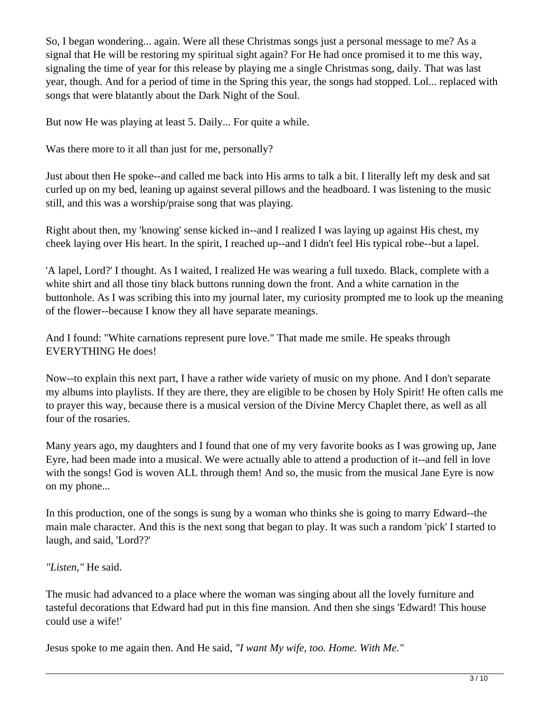So, I began wondering... again. Were all these Christmas songs just a personal message to me? As a signal that He will be restoring my spiritual sight again? For He had once promised it to me this way, signaling the time of year for this release by playing me a single Christmas song, daily. That was last year, though. And for a period of time in the Spring this year, the songs had stopped. Lol... replaced with songs that were blatantly about the Dark Night of the Soul.

But now He was playing at least 5. Daily... For quite a while.

Was there more to it all than just for me, personally?

Just about then He spoke--and called me back into His arms to talk a bit. I literally left my desk and sat curled up on my bed, leaning up against several pillows and the headboard. I was listening to the music still, and this was a worship/praise song that was playing.

Right about then, my 'knowing' sense kicked in--and I realized I was laying up against His chest, my cheek laying over His heart. In the spirit, I reached up--and I didn't feel His typical robe--but a lapel.

'A lapel, Lord?' I thought. As I waited, I realized He was wearing a full tuxedo. Black, complete with a white shirt and all those tiny black buttons running down the front. And a white carnation in the buttonhole. As I was scribing this into my journal later, my curiosity prompted me to look up the meaning of the flower--because I know they all have separate meanings.

And I found: "White carnations represent pure love." That made me smile. He speaks through EVERYTHING He does!

Now--to explain this next part, I have a rather wide variety of music on my phone. And I don't separate my albums into playlists. If they are there, they are eligible to be chosen by Holy Spirit! He often calls me to prayer this way, because there is a musical version of the Divine Mercy Chaplet there, as well as all four of the rosaries.

Many years ago, my daughters and I found that one of my very favorite books as I was growing up, Jane Eyre, had been made into a musical. We were actually able to attend a production of it--and fell in love with the songs! God is woven ALL through them! And so, the music from the musical Jane Eyre is now on my phone...

In this production, one of the songs is sung by a woman who thinks she is going to marry Edward--the main male character. And this is the next song that began to play. It was such a random 'pick' I started to laugh, and said, 'Lord??'

## *"Listen,"* He said.

The music had advanced to a place where the woman was singing about all the lovely furniture and tasteful decorations that Edward had put in this fine mansion. And then she sings 'Edward! This house could use a wife!'

Jesus spoke to me again then. And He said, *"I want My wife, too. Home. With Me."*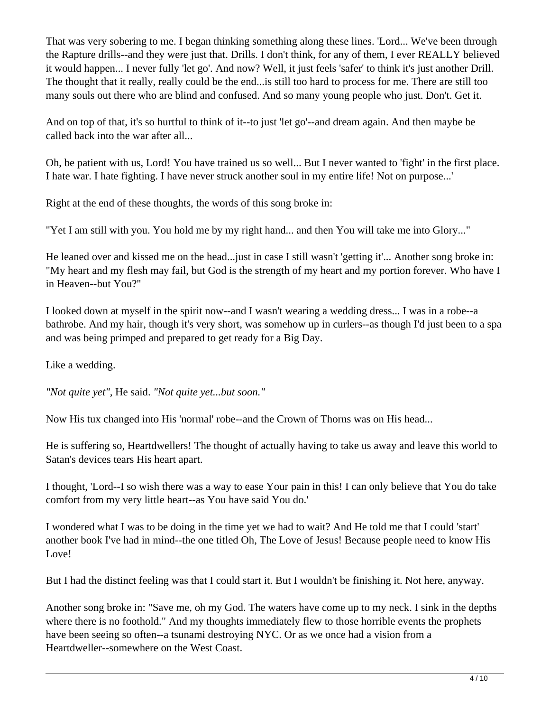That was very sobering to me. I began thinking something along these lines. 'Lord... We've been through the Rapture drills--and they were just that. Drills. I don't think, for any of them, I ever REALLY believed it would happen... I never fully 'let go'. And now? Well, it just feels 'safer' to think it's just another Drill. The thought that it really, really could be the end...is still too hard to process for me. There are still too many souls out there who are blind and confused. And so many young people who just. Don't. Get it.

And on top of that, it's so hurtful to think of it--to just 'let go'--and dream again. And then maybe be called back into the war after all...

Oh, be patient with us, Lord! You have trained us so well... But I never wanted to 'fight' in the first place. I hate war. I hate fighting. I have never struck another soul in my entire life! Not on purpose...'

Right at the end of these thoughts, the words of this song broke in:

"Yet I am still with you. You hold me by my right hand... and then You will take me into Glory..."

He leaned over and kissed me on the head...just in case I still wasn't 'getting it'... Another song broke in: "My heart and my flesh may fail, but God is the strength of my heart and my portion forever. Who have I in Heaven--but You?"

I looked down at myself in the spirit now--and I wasn't wearing a wedding dress... I was in a robe--a bathrobe. And my hair, though it's very short, was somehow up in curlers--as though I'd just been to a spa and was being primped and prepared to get ready for a Big Day.

Like a wedding.

*"Not quite yet",* He said. *"Not quite yet...but soon."*

Now His tux changed into His 'normal' robe--and the Crown of Thorns was on His head...

He is suffering so, Heartdwellers! The thought of actually having to take us away and leave this world to Satan's devices tears His heart apart.

I thought, 'Lord--I so wish there was a way to ease Your pain in this! I can only believe that You do take comfort from my very little heart--as You have said You do.'

I wondered what I was to be doing in the time yet we had to wait? And He told me that I could 'start' another book I've had in mind--the one titled Oh, The Love of Jesus! Because people need to know His Love!

But I had the distinct feeling was that I could start it. But I wouldn't be finishing it. Not here, anyway.

Another song broke in: "Save me, oh my God. The waters have come up to my neck. I sink in the depths where there is no foothold." And my thoughts immediately flew to those horrible events the prophets have been seeing so often--a tsunami destroying NYC. Or as we once had a vision from a Heartdweller--somewhere on the West Coast.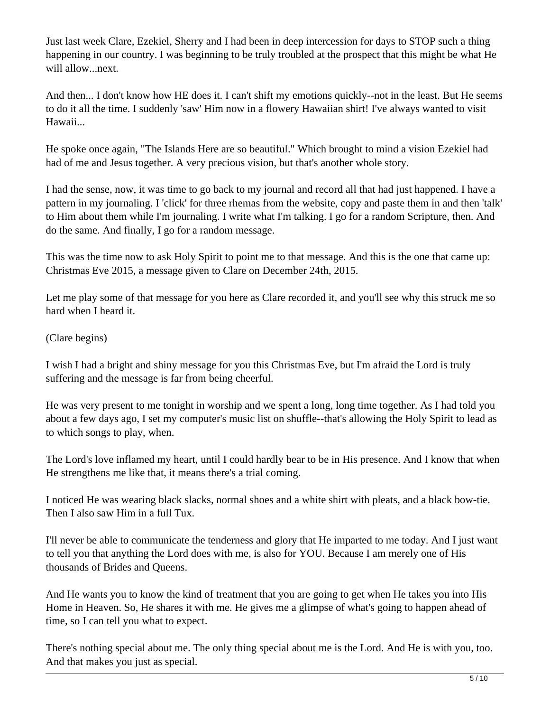Just last week Clare, Ezekiel, Sherry and I had been in deep intercession for days to STOP such a thing happening in our country. I was beginning to be truly troubled at the prospect that this might be what He will allow...next.

And then... I don't know how HE does it. I can't shift my emotions quickly--not in the least. But He seems to do it all the time. I suddenly 'saw' Him now in a flowery Hawaiian shirt! I've always wanted to visit Hawaii...

He spoke once again, "The Islands Here are so beautiful." Which brought to mind a vision Ezekiel had had of me and Jesus together. A very precious vision, but that's another whole story.

I had the sense, now, it was time to go back to my journal and record all that had just happened. I have a pattern in my journaling. I 'click' for three rhemas from the website, copy and paste them in and then 'talk' to Him about them while I'm journaling. I write what I'm talking. I go for a random Scripture, then. And do the same. And finally, I go for a random message.

This was the time now to ask Holy Spirit to point me to that message. And this is the one that came up: Christmas Eve 2015, a message given to Clare on December 24th, 2015.

Let me play some of that message for you here as Clare recorded it, and you'll see why this struck me so hard when I heard it.

(Clare begins)

I wish I had a bright and shiny message for you this Christmas Eve, but I'm afraid the Lord is truly suffering and the message is far from being cheerful.

He was very present to me tonight in worship and we spent a long, long time together. As I had told you about a few days ago, I set my computer's music list on shuffle--that's allowing the Holy Spirit to lead as to which songs to play, when.

The Lord's love inflamed my heart, until I could hardly bear to be in His presence. And I know that when He strengthens me like that, it means there's a trial coming.

I noticed He was wearing black slacks, normal shoes and a white shirt with pleats, and a black bow-tie. Then I also saw Him in a full Tux.

I'll never be able to communicate the tenderness and glory that He imparted to me today. And I just want to tell you that anything the Lord does with me, is also for YOU. Because I am merely one of His thousands of Brides and Queens.

And He wants you to know the kind of treatment that you are going to get when He takes you into His Home in Heaven. So, He shares it with me. He gives me a glimpse of what's going to happen ahead of time, so I can tell you what to expect.

There's nothing special about me. The only thing special about me is the Lord. And He is with you, too. And that makes you just as special.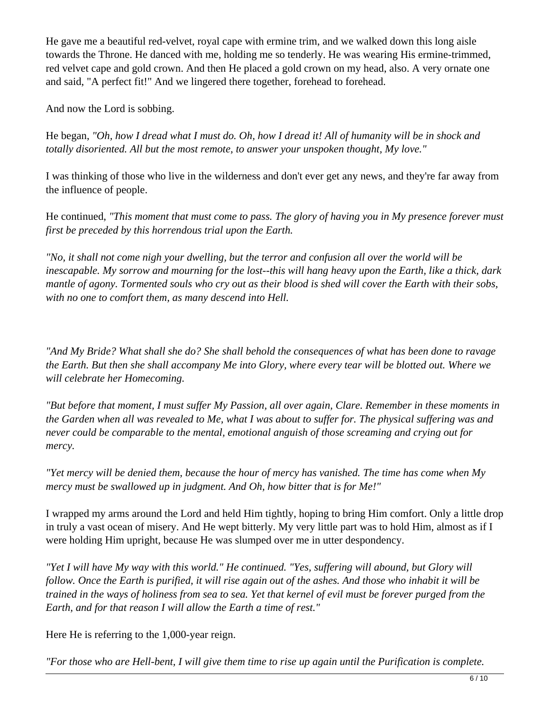He gave me a beautiful red-velvet, royal cape with ermine trim, and we walked down this long aisle towards the Throne. He danced with me, holding me so tenderly. He was wearing His ermine-trimmed, red velvet cape and gold crown. And then He placed a gold crown on my head, also. A very ornate one and said, "A perfect fit!" And we lingered there together, forehead to forehead.

And now the Lord is sobbing.

He began, *"Oh, how I dread what I must do. Oh, how I dread it! All of humanity will be in shock and totally disoriented. All but the most remote, to answer your unspoken thought, My love."*

I was thinking of those who live in the wilderness and don't ever get any news, and they're far away from the influence of people.

He continued, *"This moment that must come to pass. The glory of having you in My presence forever must first be preceded by this horrendous trial upon the Earth.* 

*"No, it shall not come nigh your dwelling, but the terror and confusion all over the world will be inescapable. My sorrow and mourning for the lost--this will hang heavy upon the Earth, like a thick, dark mantle of agony. Tormented souls who cry out as their blood is shed will cover the Earth with their sobs, with no one to comfort them, as many descend into Hell.*

*"And My Bride? What shall she do? She shall behold the consequences of what has been done to ravage the Earth. But then she shall accompany Me into Glory, where every tear will be blotted out. Where we will celebrate her Homecoming.* 

*"But before that moment, I must suffer My Passion, all over again, Clare. Remember in these moments in the Garden when all was revealed to Me, what I was about to suffer for. The physical suffering was and never could be comparable to the mental, emotional anguish of those screaming and crying out for mercy.* 

*"Yet mercy will be denied them, because the hour of mercy has vanished. The time has come when My mercy must be swallowed up in judgment. And Oh, how bitter that is for Me!"*

I wrapped my arms around the Lord and held Him tightly, hoping to bring Him comfort. Only a little drop in truly a vast ocean of misery. And He wept bitterly. My very little part was to hold Him, almost as if I were holding Him upright, because He was slumped over me in utter despondency.

*"Yet I will have My way with this world." He continued. "Yes, suffering will abound, but Glory will follow. Once the Earth is purified, it will rise again out of the ashes. And those who inhabit it will be trained in the ways of holiness from sea to sea. Yet that kernel of evil must be forever purged from the Earth, and for that reason I will allow the Earth a time of rest."*

Here He is referring to the 1,000-year reign.

*"For those who are Hell-bent, I will give them time to rise up again until the Purification is complete.*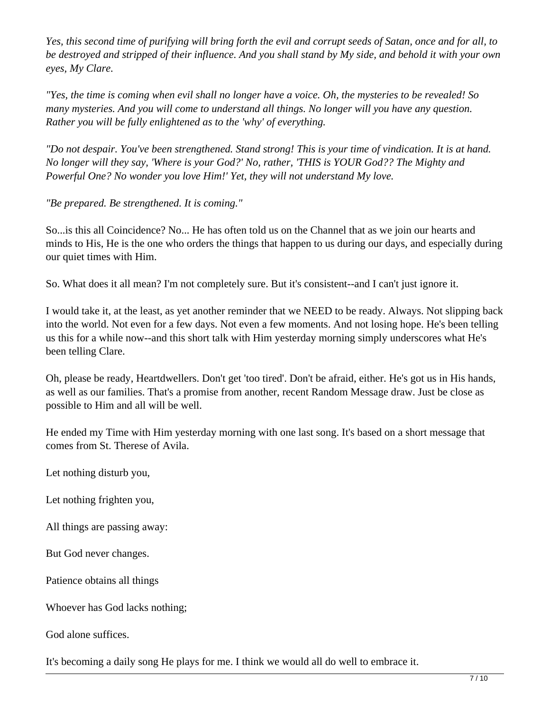*Yes, this second time of purifying will bring forth the evil and corrupt seeds of Satan, once and for all, to be destroyed and stripped of their influence. And you shall stand by My side, and behold it with your own eyes, My Clare.*

*"Yes, the time is coming when evil shall no longer have a voice. Oh, the mysteries to be revealed! So many mysteries. And you will come to understand all things. No longer will you have any question. Rather you will be fully enlightened as to the 'why' of everything.*

*"Do not despair. You've been strengthened. Stand strong! This is your time of vindication. It is at hand. No longer will they say, 'Where is your God?' No, rather, 'THIS is YOUR God?? The Mighty and Powerful One? No wonder you love Him!' Yet, they will not understand My love.*

*"Be prepared. Be strengthened. It is coming."*

So...is this all Coincidence? No... He has often told us on the Channel that as we join our hearts and minds to His, He is the one who orders the things that happen to us during our days, and especially during our quiet times with Him.

So. What does it all mean? I'm not completely sure. But it's consistent--and I can't just ignore it.

I would take it, at the least, as yet another reminder that we NEED to be ready. Always. Not slipping back into the world. Not even for a few days. Not even a few moments. And not losing hope. He's been telling us this for a while now--and this short talk with Him yesterday morning simply underscores what He's been telling Clare.

Oh, please be ready, Heartdwellers. Don't get 'too tired'. Don't be afraid, either. He's got us in His hands, as well as our families. That's a promise from another, recent Random Message draw. Just be close as possible to Him and all will be well.

He ended my Time with Him yesterday morning with one last song. It's based on a short message that comes from St. Therese of Avila.

Let nothing disturb you,

Let nothing frighten you,

All things are passing away:

But God never changes.

Patience obtains all things

Whoever has God lacks nothing;

God alone suffices.

It's becoming a daily song He plays for me. I think we would all do well to embrace it.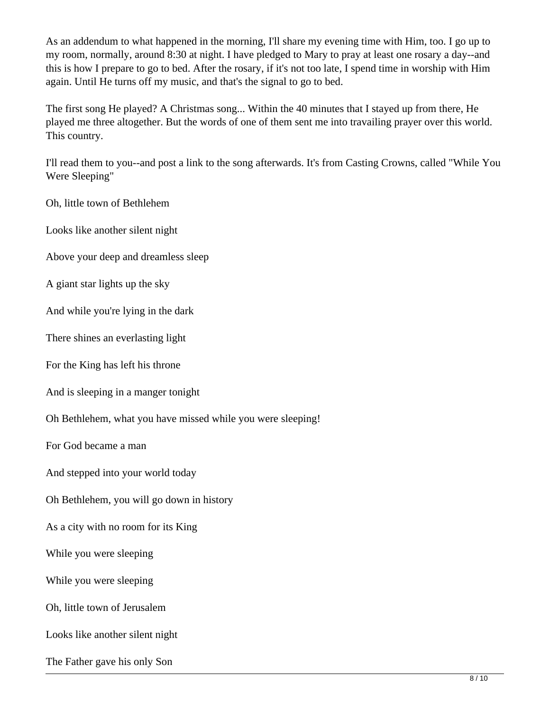As an addendum to what happened in the morning, I'll share my evening time with Him, too. I go up to my room, normally, around 8:30 at night. I have pledged to Mary to pray at least one rosary a day--and this is how I prepare to go to bed. After the rosary, if it's not too late, I spend time in worship with Him again. Until He turns off my music, and that's the signal to go to bed.

The first song He played? A Christmas song... Within the 40 minutes that I stayed up from there, He played me three altogether. But the words of one of them sent me into travailing prayer over this world. This country.

I'll read them to you--and post a link to the song afterwards. It's from Casting Crowns, called "While You Were Sleeping"

Oh, little town of Bethlehem

Looks like another silent night

Above your deep and dreamless sleep

A giant star lights up the sky

And while you're lying in the dark

There shines an everlasting light

For the King has left his throne

And is sleeping in a manger tonight

Oh Bethlehem, what you have missed while you were sleeping!

For God became a man

And stepped into your world today

Oh Bethlehem, you will go down in history

As a city with no room for its King

While you were sleeping

While you were sleeping

Oh, little town of Jerusalem

Looks like another silent night

The Father gave his only Son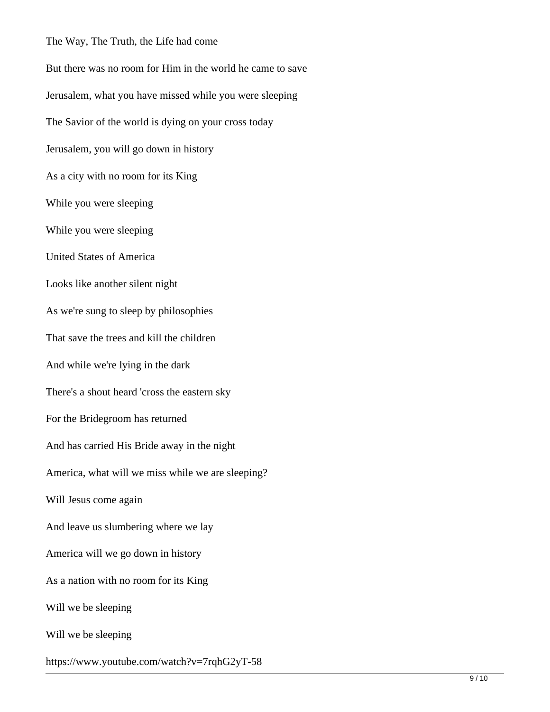The Way, The Truth, the Life had come

But there was no room for Him in the world he came to save Jerusalem, what you have missed while you were sleeping The Savior of the world is dying on your cross today Jerusalem, you will go down in history As a city with no room for its King While you were sleeping While you were sleeping United States of America Looks like another silent night As we're sung to sleep by philosophies That save the trees and kill the children And while we're lying in the dark There's a shout heard 'cross the eastern sky For the Bridegroom has returned And has carried His Bride away in the night America, what will we miss while we are sleeping? Will Jesus come again And leave us slumbering where we lay America will we go down in history As a nation with no room for its King Will we be sleeping Will we be sleeping https://www.youtube.com/watch?v=7rqhG2yT-58